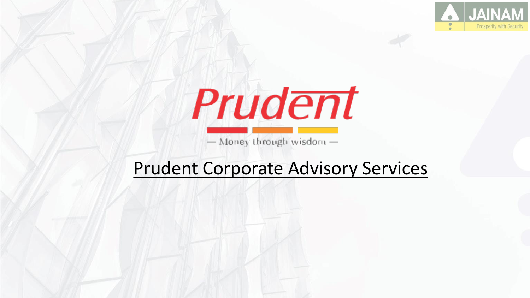



- Money through wisdom -

#### Prudent Corporate Advisory Services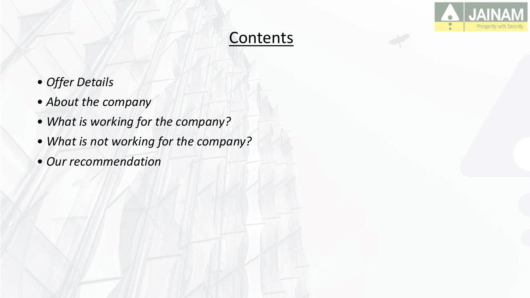

#### **Contents**

- *Offer Details*
- *About the company*
- *What is working for the company?*
- *What is not working for the company?*
- *Our recommendation*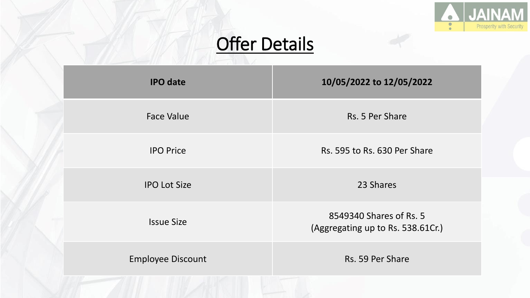

# **Offer Details**

| <b>IPO</b> date          | 10/05/2022 to 12/05/2022                                     |
|--------------------------|--------------------------------------------------------------|
| <b>Face Value</b>        | Rs. 5 Per Share                                              |
| <b>IPO Price</b>         | Rs. 595 to Rs. 630 Per Share                                 |
| <b>IPO Lot Size</b>      | 23 Shares                                                    |
| <b>Issue Size</b>        | 8549340 Shares of Rs. 5<br>(Aggregating up to Rs. 538.61Cr.) |
| <b>Employee Discount</b> | Rs. 59 Per Share                                             |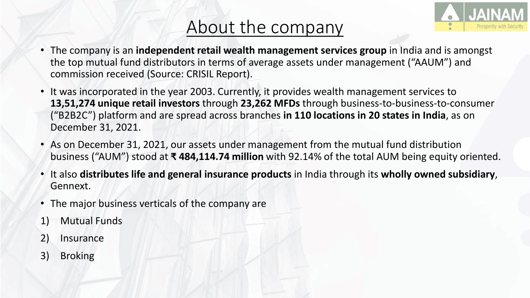### About the company



- The company is an **independent retail wealth management services group** in India and is amongst the top mutual fund distributors in terms of average assets under management ("AAUM") and commission received (Source: CRISIL Report).
- It was incorporated in the year 2003. Currently, it provides wealth management services to **13,51,274 unique retail investors** through **23,262 MFDs** through business-to-business-to-consumer ("B2B2C") platform and are spread across branches **in 110 locations in 20 states in India**, as on December 31, 2021.
- As on December 31, 2021, our assets under management from the mutual fund distribution business ("AUM") stood at **₹ 484,114.74 million** with 92.14% of the total AUM being equity oriented.
- It also **distributes life and general insurance products** in India through its **wholly owned subsidiary**, Gennext.
- The major business verticals of the company are
- 1) Mutual Funds
- 2) Insurance
- 3) Broking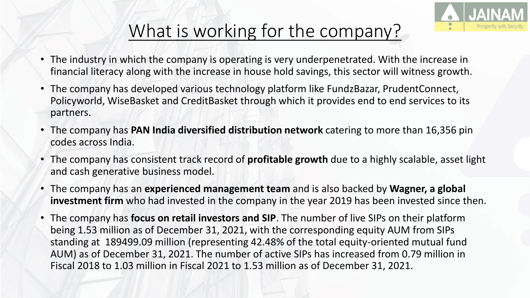

## What is working for the company?

- The industry in which the company is operating is very underpenetrated. With the increase in financial literacy along with the increase in house hold savings, this sector will witness growth.
- The company has developed various technology platform like FundzBazar, PrudentConnect, Policyworld, WiseBasket and CreditBasket through which it provides end to end services to its partners.
- The company has **PAN India diversified distribution network** catering to more than 16,356 pin codes across India.
- The company has consistent track record of **profitable growth** due to a highly scalable, asset light and cash generative business model.
- The company has an **experienced management team** and is also backed by **Wagner, a global investment firm** who had invested in the company in the year 2019 has been invested since then.
- The company has **focus on retail investors and SIP**. The number of live SIPs on their platform being 1.53 million as of December 31, 2021, with the corresponding equity AUM from SIPs standing at 189499.09 million (representing 42.48% of the total equity-oriented mutual fund AUM) as of December 31, 2021. The number of active SIPs has increased from 0.79 million in Fiscal 2018 to 1.03 million in Fiscal 2021 to 1.53 million as of December 31, 2021.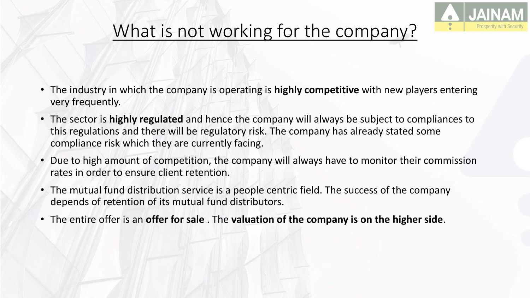

# What is not working for the company?

- The industry in which the company is operating is **highly competitive** with new players entering very frequently.
- The sector is **highly regulated** and hence the company will always be subject to compliances to this regulations and there will be regulatory risk. The company has already stated some compliance risk which they are currently facing.
- Due to high amount of competition, the company will always have to monitor their commission rates in order to ensure client retention.
- The mutual fund distribution service is a people centric field. The success of the company depends of retention of its mutual fund distributors.
- The entire offer is an **offer for sale** . The **valuation of the company is on the higher side**.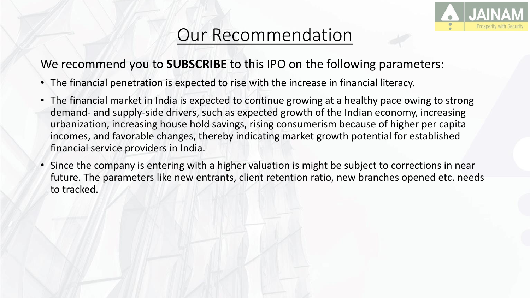

#### Our Recommendation

#### We recommend you to **SUBSCRIBE** to this IPO on the following parameters:

- The financial penetration is expected to rise with the increase in financial literacy.
- The financial market in India is expected to continue growing at a healthy pace owing to strong demand- and supply-side drivers, such as expected growth of the Indian economy, increasing urbanization, increasing house hold savings, rising consumerism because of higher per capita incomes, and favorable changes, thereby indicating market growth potential for established financial service providers in India.
- Since the company is entering with a higher valuation is might be subject to corrections in near future. The parameters like new entrants, client retention ratio, new branches opened etc. needs to tracked.